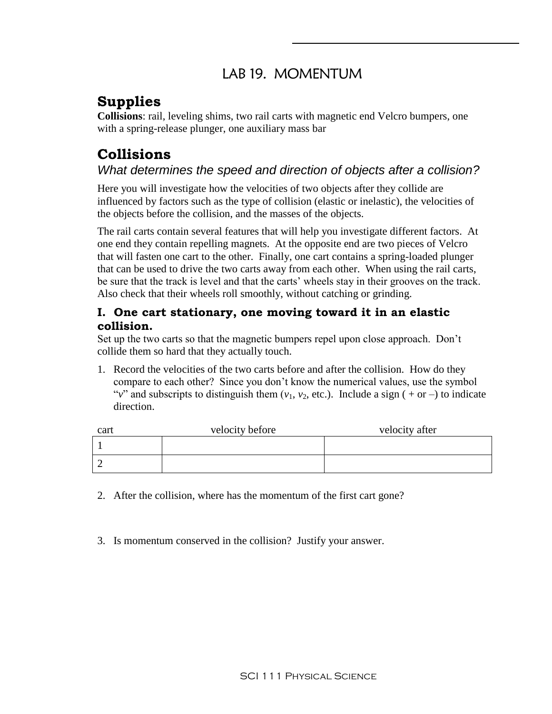### LAB 19. MOMENTUM

# **Supplies**

**Collisions**: rail, leveling shims, two rail carts with magnetic end Velcro bumpers, one with a spring-release plunger, one auxiliary mass bar

# **Collisions**

### *What determines the speed and direction of objects after a collision?*

Here you will investigate how the velocities of two objects after they collide are influenced by factors such as the type of collision (elastic or inelastic), the velocities of the objects before the collision, and the masses of the objects.

The rail carts contain several features that will help you investigate different factors. At one end they contain repelling magnets. At the opposite end are two pieces of Velcro that will fasten one cart to the other. Finally, one cart contains a spring-loaded plunger that can be used to drive the two carts away from each other. When using the rail carts, be sure that the track is level and that the carts' wheels stay in their grooves on the track. Also check that their wheels roll smoothly, without catching or grinding.

#### **I. One cart stationary, one moving toward it in an elastic collision.**

Set up the two carts so that the magnetic bumpers repel upon close approach. Don't collide them so hard that they actually touch.

1. Record the velocities of the two carts before and after the collision. How do they compare to each other? Since you don't know the numerical values, use the symbol "*v*" and subscripts to distinguish them  $(v_1, v_2, \text{ etc.})$ . Include a sign (+or –) to indicate direction.

| cart | velocity before | velocity after |
|------|-----------------|----------------|
|      |                 |                |
|      |                 |                |

- 2. After the collision, where has the momentum of the first cart gone?
- 3. Is momentum conserved in the collision? Justify your answer.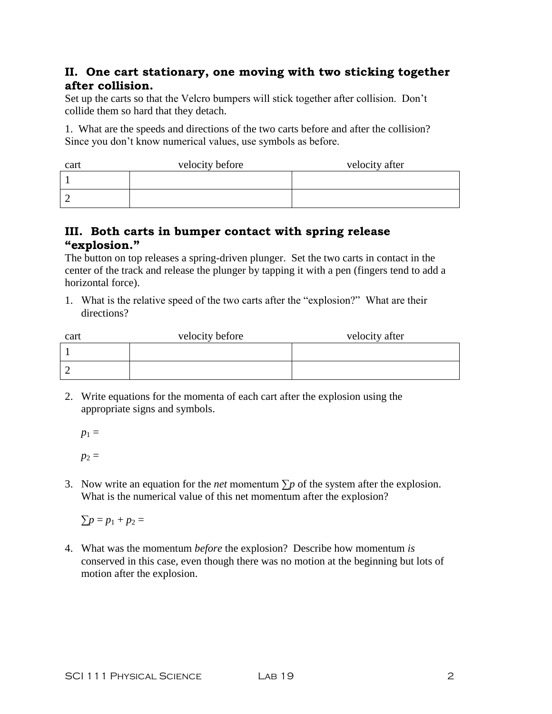#### **II. One cart stationary, one moving with two sticking together after collision.**

Set up the carts so that the Velcro bumpers will stick together after collision. Don't collide them so hard that they detach.

1. What are the speeds and directions of the two carts before and after the collision? Since you don't know numerical values, use symbols as before.

| cart | velocity before | velocity after |
|------|-----------------|----------------|
|      |                 |                |
|      |                 |                |

#### **III. Both carts in bumper contact with spring release "explosion."**

The button on top releases a spring-driven plunger. Set the two carts in contact in the center of the track and release the plunger by tapping it with a pen (fingers tend to add a horizontal force).

1. What is the relative speed of the two carts after the "explosion?" What are their directions?

| cart | velocity before | velocity after |
|------|-----------------|----------------|
|      |                 |                |
|      |                 |                |

2. Write equations for the momenta of each cart after the explosion using the appropriate signs and symbols.

 $p_1 =$  $p_2 =$ 

3. Now write an equation for the *net* momentum  $\sum p$  of the system after the explosion. What is the numerical value of this net momentum after the explosion?

 $\Sigma p = p_1 + p_2 =$ 

4. What was the momentum *before* the explosion? Describe how momentum *is* conserved in this case, even though there was no motion at the beginning but lots of motion after the explosion.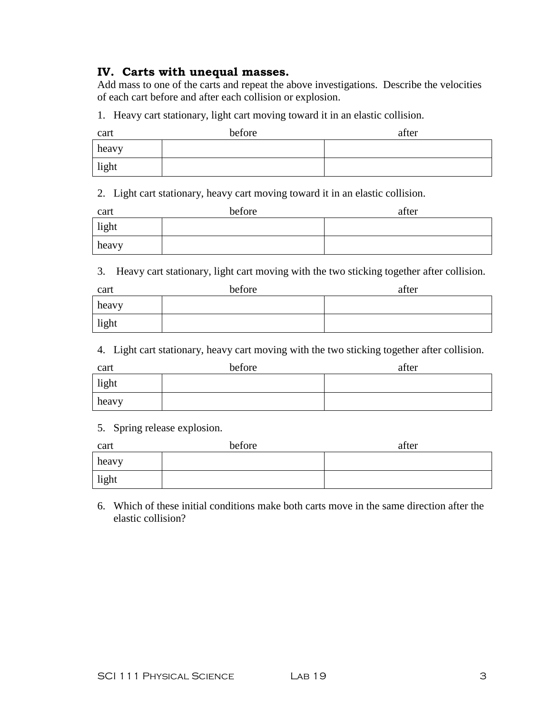#### **IV. Carts with unequal masses.**

Add mass to one of the carts and repeat the above investigations. Describe the velocities of each cart before and after each collision or explosion.

1. Heavy cart stationary, light cart moving toward it in an elastic collision.

| cart  | before | after |
|-------|--------|-------|
| heavy |        |       |
| light |        |       |

2. Light cart stationary, heavy cart moving toward it in an elastic collision.

| cart  | before | after |
|-------|--------|-------|
| light |        |       |
| heavy |        |       |

3. Heavy cart stationary, light cart moving with the two sticking together after collision.

| cart  | before | after |
|-------|--------|-------|
| heavy |        |       |
| light |        |       |

4. Light cart stationary, heavy cart moving with the two sticking together after collision.

| cart  | before | after |
|-------|--------|-------|
| light |        |       |
| heavy |        |       |

5. Spring release explosion.

| cart  | before | after |
|-------|--------|-------|
| heavy |        |       |
| light |        |       |

6. Which of these initial conditions make both carts move in the same direction after the elastic collision?